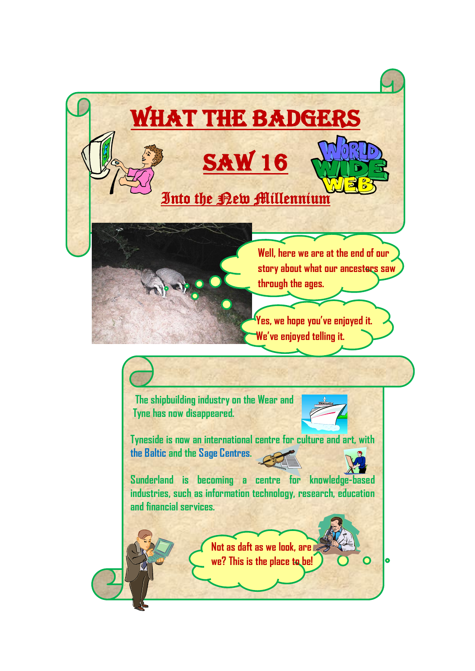